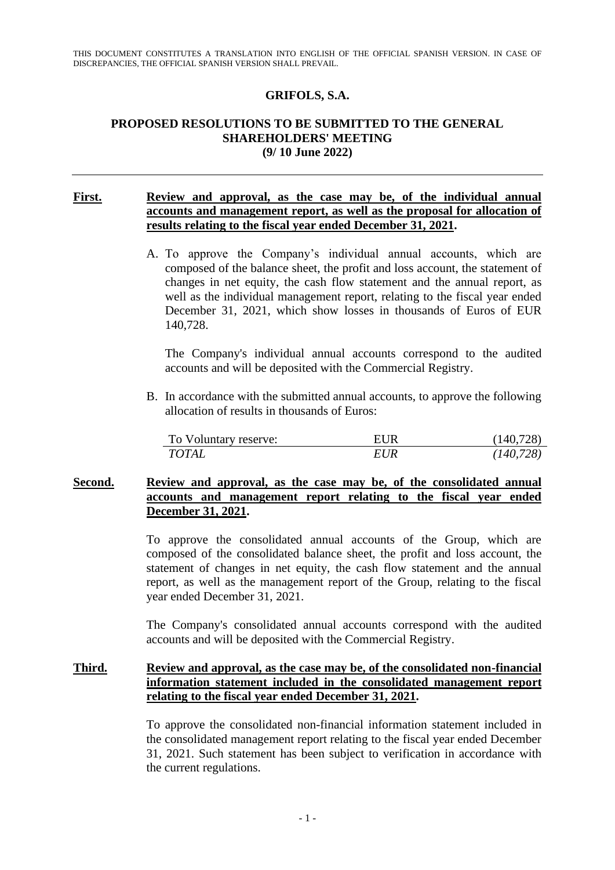### **GRIFOLS, S.A.**

### **PROPOSED RESOLUTIONS TO BE SUBMITTED TO THE GENERAL SHAREHOLDERS' MEETING (9/ 10 June 2022)**

### **First. Review and approval, as the case may be, of the individual annual accounts and management report, as well as the proposal for allocation of results relating to the fiscal year ended December 31, 2021.**

A. To approve the Company's individual annual accounts, which are composed of the balance sheet, the profit and loss account, the statement of changes in net equity, the cash flow statement and the annual report, as well as the individual management report, relating to the fiscal year ended December 31, 2021, which show losses in thousands of Euros of EUR 140,728.

The Company's individual annual accounts correspond to the audited accounts and will be deposited with the Commercial Registry.

B. In accordance with the submitted annual accounts, to approve the following allocation of results in thousands of Euros:

| To Voluntary reserve: | EUR        | (140, 728) |
|-----------------------|------------|------------|
| <b>TOTAL</b>          | <b>EUR</b> | (140, 728) |

### **Second. Review and approval, as the case may be, of the consolidated annual accounts and management report relating to the fiscal year ended December 31, 2021.**

To approve the consolidated annual accounts of the Group, which are composed of the consolidated balance sheet, the profit and loss account, the statement of changes in net equity, the cash flow statement and the annual report, as well as the management report of the Group, relating to the fiscal year ended December 31, 2021.

The Company's consolidated annual accounts correspond with the audited accounts and will be deposited with the Commercial Registry.

# **Third. Review and approval, as the case may be, of the consolidated non-financial information statement included in the consolidated management report relating to the fiscal year ended December 31, 2021.**

To approve the consolidated non-financial information statement included in the consolidated management report relating to the fiscal year ended December 31, 2021. Such statement has been subject to verification in accordance with the current regulations.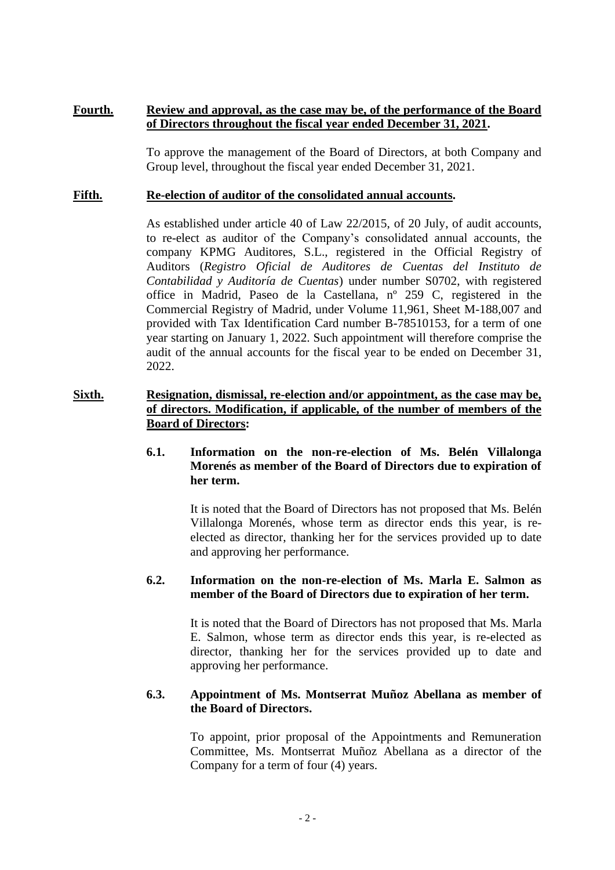### **Fourth. Review and approval, as the case may be, of the performance of the Board of Directors throughout the fiscal year ended December 31, 2021.**

To approve the management of the Board of Directors, at both Company and Group level, throughout the fiscal year ended December 31, 2021.

### **Fifth. Re-election of auditor of the consolidated annual accounts.**

As established under article 40 of Law 22/2015, of 20 July, of audit accounts, to re-elect as auditor of the Company's consolidated annual accounts, the company KPMG Auditores, S.L., registered in the Official Registry of Auditors (*Registro Oficial de Auditores de Cuentas del Instituto de Contabilidad y Auditoría de Cuentas*) under number S0702, with registered office in Madrid, Paseo de la Castellana, nº 259 C, registered in the Commercial Registry of Madrid, under Volume 11,961, Sheet M-188,007 and provided with Tax Identification Card number B-78510153, for a term of one year starting on January 1, 2022. Such appointment will therefore comprise the audit of the annual accounts for the fiscal year to be ended on December 31, 2022.

# **Sixth. Resignation, dismissal, re-election and/or appointment, as the case may be, of directors. Modification, if applicable, of the number of members of the Board of Directors:**

### **6.1. Information on the non-re-election of Ms. Belén Villalonga Morenés as member of the Board of Directors due to expiration of her term.**

It is noted that the Board of Directors has not proposed that Ms. Belén Villalonga Morenés, whose term as director ends this year, is reelected as director, thanking her for the services provided up to date and approving her performance.

# **6.2. Information on the non-re-election of Ms. Marla E. Salmon as member of the Board of Directors due to expiration of her term.**

It is noted that the Board of Directors has not proposed that Ms. Marla E. Salmon, whose term as director ends this year, is re-elected as director, thanking her for the services provided up to date and approving her performance.

#### **6.3. Appointment of Ms. Montserrat Muñoz Abellana as member of the Board of Directors.**

To appoint, prior proposal of the Appointments and Remuneration Committee, Ms. Montserrat Muñoz Abellana as a director of the Company for a term of four (4) years.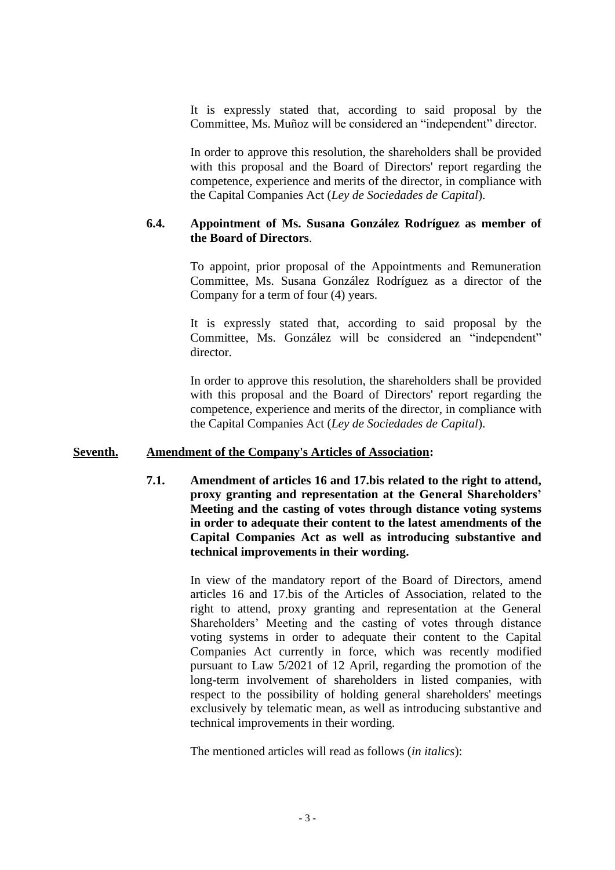It is expressly stated that, according to said proposal by the Committee, Ms. Muñoz will be considered an "independent" director.

In order to approve this resolution, the shareholders shall be provided with this proposal and the Board of Directors' report regarding the competence, experience and merits of the director, in compliance with the Capital Companies Act (*Ley de Sociedades de Capital*).

#### **6.4. Appointment of Ms. Susana González Rodríguez as member of the Board of Directors**.

To appoint, prior proposal of the Appointments and Remuneration Committee, Ms. Susana González Rodríguez as a director of the Company for a term of four (4) years.

It is expressly stated that, according to said proposal by the Committee, Ms. González will be considered an "independent" director.

In order to approve this resolution, the shareholders shall be provided with this proposal and the Board of Directors' report regarding the competence, experience and merits of the director, in compliance with the Capital Companies Act (*Ley de Sociedades de Capital*).

#### **Seventh. Amendment of the Company's Articles of Association:**

**7.1. Amendment of articles 16 and 17.bis related to the right to attend, proxy granting and representation at the General Shareholders' Meeting and the casting of votes through distance voting systems in order to adequate their content to the latest amendments of the Capital Companies Act as well as introducing substantive and technical improvements in their wording.**

> In view of the mandatory report of the Board of Directors, amend articles 16 and 17.bis of the Articles of Association, related to the right to attend, proxy granting and representation at the General Shareholders' Meeting and the casting of votes through distance voting systems in order to adequate their content to the Capital Companies Act currently in force, which was recently modified pursuant to Law 5/2021 of 12 April, regarding the promotion of the long-term involvement of shareholders in listed companies, with respect to the possibility of holding general shareholders' meetings exclusively by telematic mean, as well as introducing substantive and technical improvements in their wording.

The mentioned articles will read as follows (*in italics*):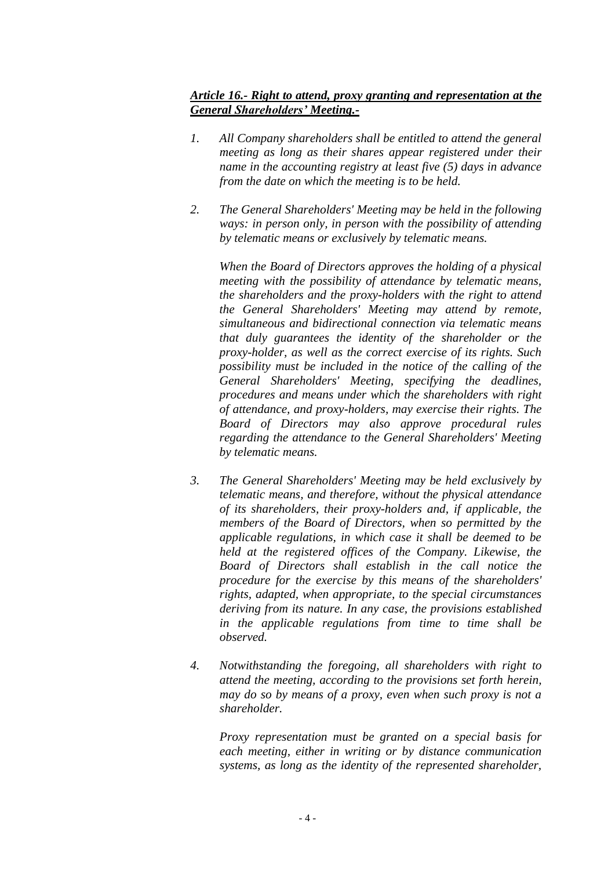# *Article 16.- Right to attend, proxy granting and representation at the General Shareholders' Meeting.-*

- *1. All Company shareholders shall be entitled to attend the general meeting as long as their shares appear registered under their name in the accounting registry at least five (5) days in advance from the date on which the meeting is to be held.*
- *2. The General Shareholders' Meeting may be held in the following ways: in person only, in person with the possibility of attending by telematic means or exclusively by telematic means.*

*When the Board of Directors approves the holding of a physical meeting with the possibility of attendance by telematic means, the shareholders and the proxy-holders with the right to attend the General Shareholders' Meeting may attend by remote, simultaneous and bidirectional connection via telematic means that duly guarantees the identity of the shareholder or the proxy-holder, as well as the correct exercise of its rights. Such possibility must be included in the notice of the calling of the General Shareholders' Meeting, specifying the deadlines, procedures and means under which the shareholders with right of attendance, and proxy-holders, may exercise their rights. The Board of Directors may also approve procedural rules regarding the attendance to the General Shareholders' Meeting by telematic means.*

- *3. The General Shareholders' Meeting may be held exclusively by telematic means, and therefore, without the physical attendance of its shareholders, their proxy-holders and, if applicable, the members of the Board of Directors, when so permitted by the applicable regulations, in which case it shall be deemed to be held at the registered offices of the Company. Likewise, the Board of Directors shall establish in the call notice the procedure for the exercise by this means of the shareholders' rights, adapted, when appropriate, to the special circumstances deriving from its nature. In any case, the provisions established in the applicable regulations from time to time shall be observed.*
- *4. Notwithstanding the foregoing, all shareholders with right to attend the meeting, according to the provisions set forth herein, may do so by means of a proxy, even when such proxy is not a shareholder.*

*Proxy representation must be granted on a special basis for each meeting, either in writing or by distance communication systems, as long as the identity of the represented shareholder,*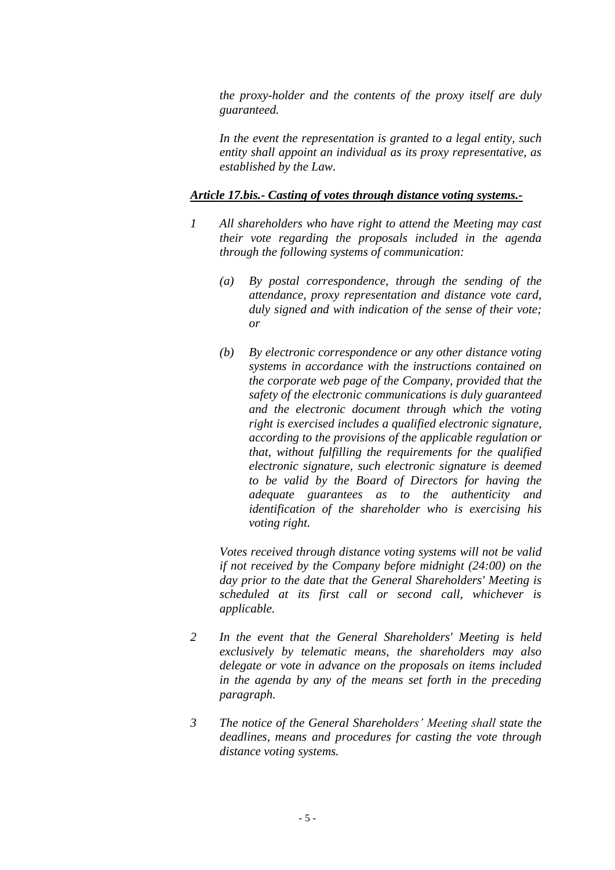*the proxy-holder and the contents of the proxy itself are duly guaranteed.*

*In the event the representation is granted to a legal entity, such entity shall appoint an individual as its proxy representative, as established by the Law.*

#### *Article 17.bis.- Casting of votes through distance voting systems.-*

- *1 All shareholders who have right to attend the Meeting may cast their vote regarding the proposals included in the agenda through the following systems of communication:*
	- *(a) By postal correspondence, through the sending of the attendance, proxy representation and distance vote card, duly signed and with indication of the sense of their vote; or*
	- *(b) By electronic correspondence or any other distance voting systems in accordance with the instructions contained on the corporate web page of the Company, provided that the safety of the electronic communications is duly guaranteed and the electronic document through which the voting right is exercised includes a qualified electronic signature, according to the provisions of the applicable regulation or that, without fulfilling the requirements for the qualified electronic signature, such electronic signature is deemed to be valid by the Board of Directors for having the adequate guarantees as to the authenticity and identification of the shareholder who is exercising his voting right.*

*Votes received through distance voting systems will not be valid if not received by the Company before midnight (24:00) on the day prior to the date that the General Shareholders' Meeting is scheduled at its first call or second call, whichever is applicable.*

- *2 In the event that the General Shareholders' Meeting is held exclusively by telematic means, the shareholders may also delegate or vote in advance on the proposals on items included in the agenda by any of the means set forth in the preceding paragraph.*
- *3 The notice of the General Shareholders' Meeting shall state the deadlines, means and procedures for casting the vote through distance voting systems.*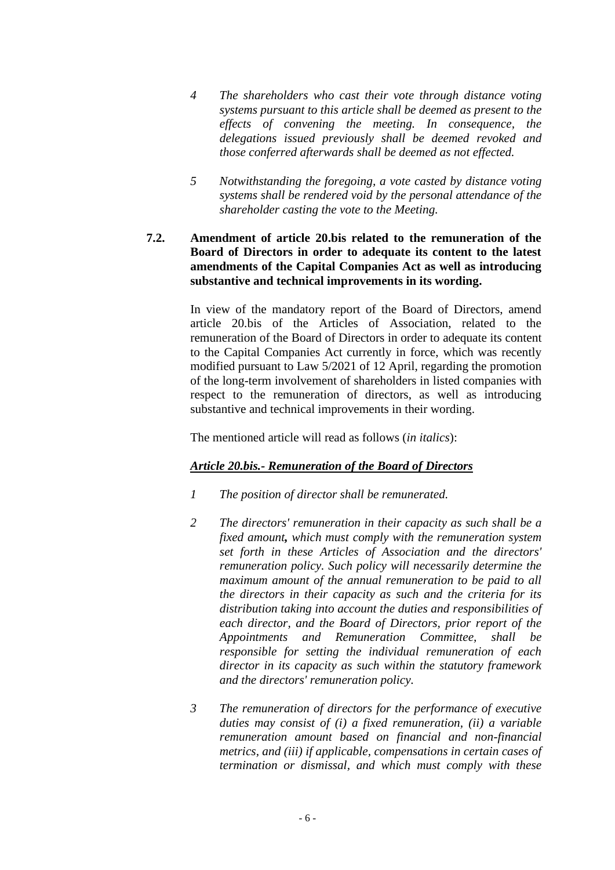- *4 The shareholders who cast their vote through distance voting systems pursuant to this article shall be deemed as present to the effects of convening the meeting. In consequence, the delegations issued previously shall be deemed revoked and those conferred afterwards shall be deemed as not effected.*
- *5 Notwithstanding the foregoing, a vote casted by distance voting systems shall be rendered void by the personal attendance of the shareholder casting the vote to the Meeting.*

# **7.2. Amendment of article 20.bis related to the remuneration of the Board of Directors in order to adequate its content to the latest amendments of the Capital Companies Act as well as introducing substantive and technical improvements in its wording.**

In view of the mandatory report of the Board of Directors, amend article 20.bis of the Articles of Association, related to the remuneration of the Board of Directors in order to adequate its content to the Capital Companies Act currently in force, which was recently modified pursuant to Law 5/2021 of 12 April, regarding the promotion of the long-term involvement of shareholders in listed companies with respect to the remuneration of directors, as well as introducing substantive and technical improvements in their wording.

The mentioned article will read as follows (*in italics*):

# *Article 20.bis.- Remuneration of the Board of Directors*

- *1 The position of director shall be remunerated.*
- *2 The directors' remuneration in their capacity as such shall be a fixed amount, which must comply with the remuneration system set forth in these Articles of Association and the directors' remuneration policy. Such policy will necessarily determine the maximum amount of the annual remuneration to be paid to all the directors in their capacity as such and the criteria for its distribution taking into account the duties and responsibilities of each director, and the Board of Directors, prior report of the Appointments and Remuneration Committee, shall be responsible for setting the individual remuneration of each director in its capacity as such within the statutory framework and the directors' remuneration policy.*
- *3 The remuneration of directors for the performance of executive duties may consist of (i) a fixed remuneration, (ii) a variable remuneration amount based on financial and non-financial metrics, and (iii) if applicable, compensations in certain cases of termination or dismissal, and which must comply with these*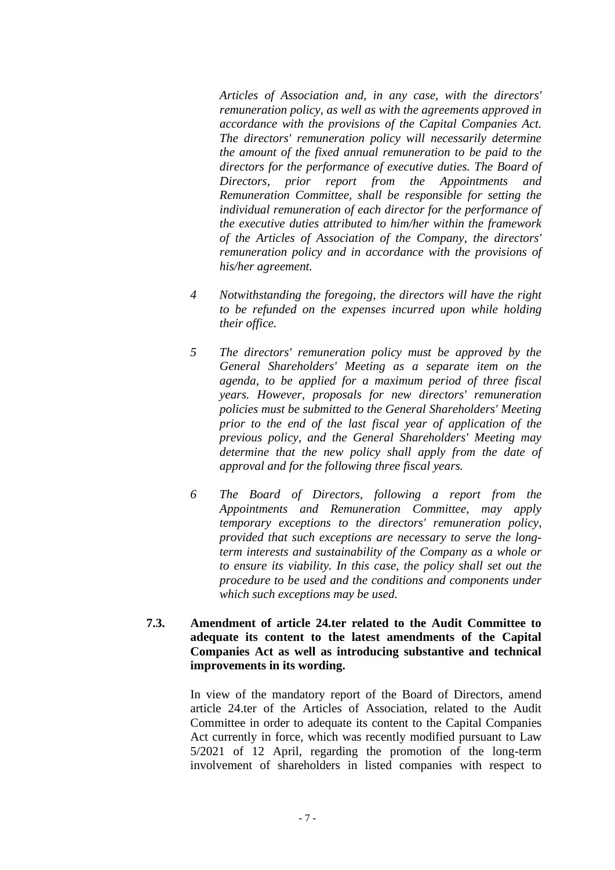*Articles of Association and, in any case, with the directors' remuneration policy, as well as with the agreements approved in accordance with the provisions of the Capital Companies Act. The directors' remuneration policy will necessarily determine the amount of the fixed annual remuneration to be paid to the directors for the performance of executive duties. The Board of Directors, prior report from the Appointments and Remuneration Committee, shall be responsible for setting the individual remuneration of each director for the performance of the executive duties attributed to him/her within the framework of the Articles of Association of the Company, the directors' remuneration policy and in accordance with the provisions of his/her agreement.*

- *4 Notwithstanding the foregoing, the directors will have the right to be refunded on the expenses incurred upon while holding their office.*
- *5 The directors' remuneration policy must be approved by the General Shareholders' Meeting as a separate item on the agenda, to be applied for a maximum period of three fiscal years. However, proposals for new directors' remuneration policies must be submitted to the General Shareholders' Meeting prior to the end of the last fiscal year of application of the previous policy, and the General Shareholders' Meeting may determine that the new policy shall apply from the date of approval and for the following three fiscal years.*
- *6 The Board of Directors, following a report from the Appointments and Remuneration Committee, may apply temporary exceptions to the directors' remuneration policy, provided that such exceptions are necessary to serve the longterm interests and sustainability of the Company as a whole or to ensure its viability. In this case, the policy shall set out the procedure to be used and the conditions and components under which such exceptions may be used.*
- **7.3. Amendment of article 24.ter related to the Audit Committee to adequate its content to the latest amendments of the Capital Companies Act as well as introducing substantive and technical improvements in its wording.**

In view of the mandatory report of the Board of Directors, amend article 24.ter of the Articles of Association, related to the Audit Committee in order to adequate its content to the Capital Companies Act currently in force, which was recently modified pursuant to Law 5/2021 of 12 April, regarding the promotion of the long-term involvement of shareholders in listed companies with respect to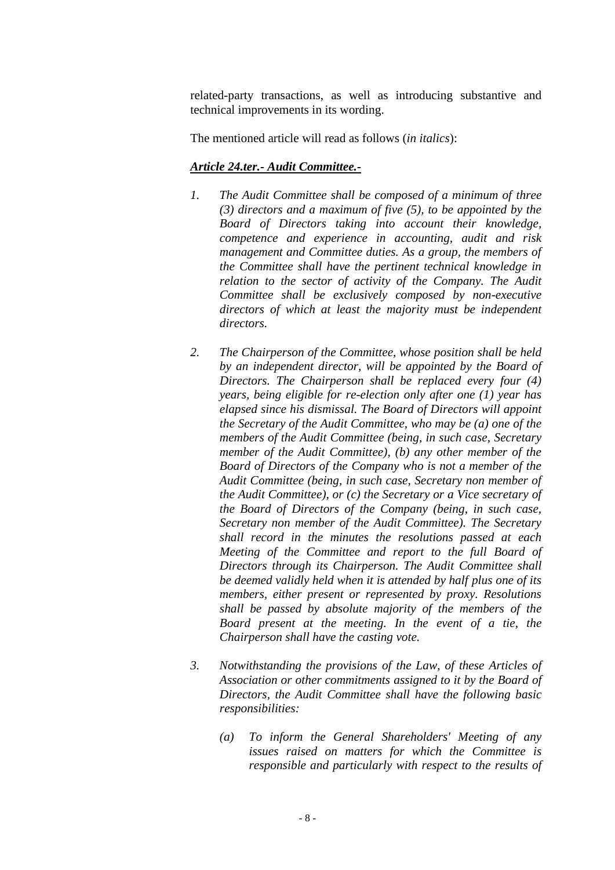related-party transactions, as well as introducing substantive and technical improvements in its wording.

The mentioned article will read as follows (*in italics*):

# *Article 24.ter.- Audit Committee.-*

- *1. The Audit Committee shall be composed of a minimum of three (3) directors and a maximum of five (5), to be appointed by the Board of Directors taking into account their knowledge, competence and experience in accounting, audit and risk management and Committee duties. As a group, the members of the Committee shall have the pertinent technical knowledge in relation to the sector of activity of the Company. The Audit Committee shall be exclusively composed by non-executive directors of which at least the majority must be independent directors.*
- *2. The Chairperson of the Committee, whose position shall be held by an independent director, will be appointed by the Board of Directors. The Chairperson shall be replaced every four (4) years, being eligible for re-election only after one (1) year has elapsed since his dismissal. The Board of Directors will appoint the Secretary of the Audit Committee, who may be (a) one of the members of the Audit Committee (being, in such case, Secretary member of the Audit Committee), (b) any other member of the Board of Directors of the Company who is not a member of the Audit Committee (being, in such case, Secretary non member of the Audit Committee), or (c) the Secretary or a Vice secretary of the Board of Directors of the Company (being, in such case, Secretary non member of the Audit Committee). The Secretary shall record in the minutes the resolutions passed at each Meeting of the Committee and report to the full Board of Directors through its Chairperson. The Audit Committee shall be deemed validly held when it is attended by half plus one of its members, either present or represented by proxy. Resolutions shall be passed by absolute majority of the members of the Board present at the meeting. In the event of a tie, the Chairperson shall have the casting vote.*
- *3. Notwithstanding the provisions of the Law, of these Articles of Association or other commitments assigned to it by the Board of Directors, the Audit Committee shall have the following basic responsibilities:*
	- *(a) To inform the General Shareholders' Meeting of any issues raised on matters for which the Committee is responsible and particularly with respect to the results of*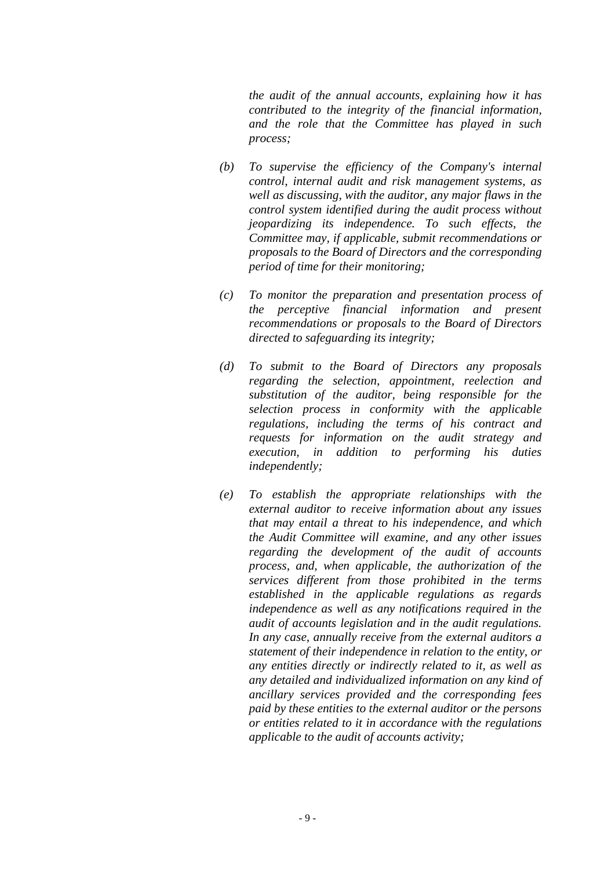*the audit of the annual accounts, explaining how it has contributed to the integrity of the financial information, and the role that the Committee has played in such process;* 

- *(b) To supervise the efficiency of the Company's internal control, internal audit and risk management systems, as well as discussing, with the auditor, any major flaws in the control system identified during the audit process without jeopardizing its independence. To such effects, the Committee may, if applicable, submit recommendations or proposals to the Board of Directors and the corresponding period of time for their monitoring;*
- *(c) To monitor the preparation and presentation process of the perceptive financial information and present recommendations or proposals to the Board of Directors directed to safeguarding its integrity;*
- *(d) To submit to the Board of Directors any proposals regarding the selection, appointment, reelection and substitution of the auditor, being responsible for the selection process in conformity with the applicable regulations, including the terms of his contract and requests for information on the audit strategy and execution, in addition to performing his duties independently;*
- *(e) To establish the appropriate relationships with the external auditor to receive information about any issues that may entail a threat to his independence, and which the Audit Committee will examine, and any other issues regarding the development of the audit of accounts process, and, when applicable, the authorization of the services different from those prohibited in the terms established in the applicable regulations as regards independence as well as any notifications required in the audit of accounts legislation and in the audit regulations. In any case, annually receive from the external auditors a statement of their independence in relation to the entity, or any entities directly or indirectly related to it, as well as any detailed and individualized information on any kind of ancillary services provided and the corresponding fees paid by these entities to the external auditor or the persons or entities related to it in accordance with the regulations applicable to the audit of accounts activity;*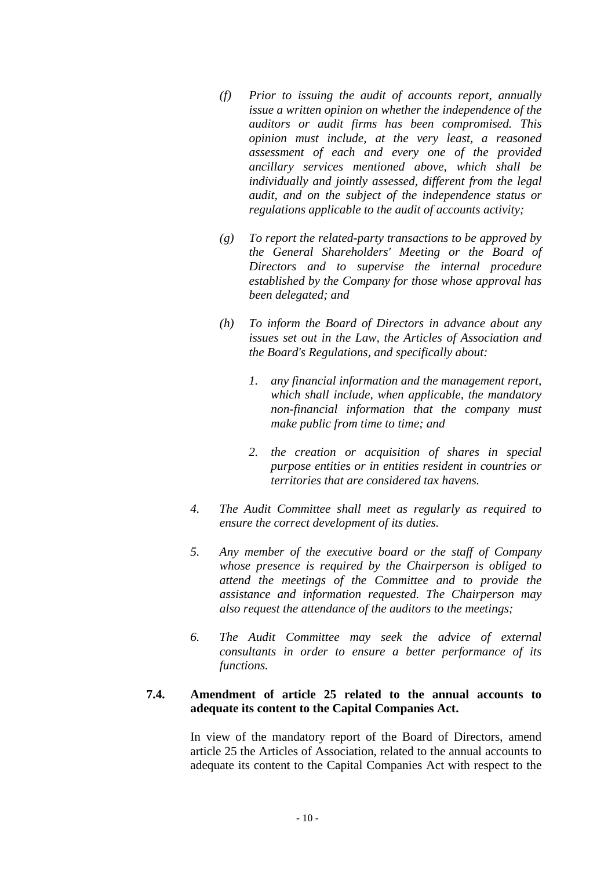- *(f) Prior to issuing the audit of accounts report, annually issue a written opinion on whether the independence of the auditors or audit firms has been compromised. This opinion must include, at the very least, a reasoned assessment of each and every one of the provided ancillary services mentioned above, which shall be individually and jointly assessed, different from the legal audit, and on the subject of the independence status or regulations applicable to the audit of accounts activity;*
- *(g) To report the related-party transactions to be approved by the General Shareholders' Meeting or the Board of Directors and to supervise the internal procedure established by the Company for those whose approval has been delegated; and*
- *(h) To inform the Board of Directors in advance about any issues set out in the Law, the Articles of Association and the Board's Regulations, and specifically about:*
	- *1. any financial information and the management report, which shall include, when applicable, the mandatory non-financial information that the company must make public from time to time; and*
	- *2. the creation or acquisition of shares in special purpose entities or in entities resident in countries or territories that are considered tax havens.*
- *4. The Audit Committee shall meet as regularly as required to ensure the correct development of its duties.*
- *5. Any member of the executive board or the staff of Company whose presence is required by the Chairperson is obliged to attend the meetings of the Committee and to provide the assistance and information requested. The Chairperson may also request the attendance of the auditors to the meetings;*
- *6. The Audit Committee may seek the advice of external consultants in order to ensure a better performance of its functions.*

### **7.4. Amendment of article 25 related to the annual accounts to adequate its content to the Capital Companies Act.**

In view of the mandatory report of the Board of Directors, amend article 25 the Articles of Association, related to the annual accounts to adequate its content to the Capital Companies Act with respect to the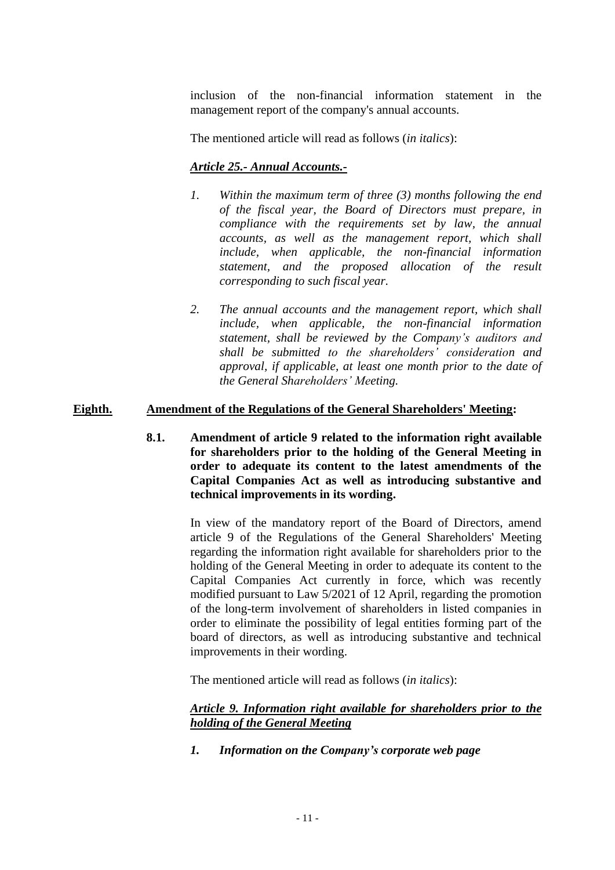inclusion of the non-financial information statement in the management report of the company's annual accounts.

The mentioned article will read as follows (*in italics*):

# *Article 25.- Annual Accounts.-*

- *1. Within the maximum term of three (3) months following the end of the fiscal year, the Board of Directors must prepare, in compliance with the requirements set by law, the annual accounts, as well as the management report, which shall include, when applicable, the non-financial information statement, and the proposed allocation of the result corresponding to such fiscal year.*
- *2. The annual accounts and the management report, which shall include, when applicable, the non-financial information statement, shall be reviewed by the Company's auditors and shall be submitted to the shareholders' consideration and approval, if applicable, at least one month prior to the date of the General Shareholders' Meeting.*

# **Eighth. Amendment of the Regulations of the General Shareholders' Meeting:**

**8.1. Amendment of article 9 related to the information right available for shareholders prior to the holding of the General Meeting in order to adequate its content to the latest amendments of the Capital Companies Act as well as introducing substantive and technical improvements in its wording.**

> In view of the mandatory report of the Board of Directors, amend article 9 of the Regulations of the General Shareholders' Meeting regarding the information right available for shareholders prior to the holding of the General Meeting in order to adequate its content to the Capital Companies Act currently in force, which was recently modified pursuant to Law 5/2021 of 12 April, regarding the promotion of the long-term involvement of shareholders in listed companies in order to eliminate the possibility of legal entities forming part of the board of directors, as well as introducing substantive and technical improvements in their wording.

The mentioned article will read as follows (*in italics*):

# *Article 9. Information right available for shareholders prior to the holding of the General Meeting*

*1. Information on the Company's corporate web page*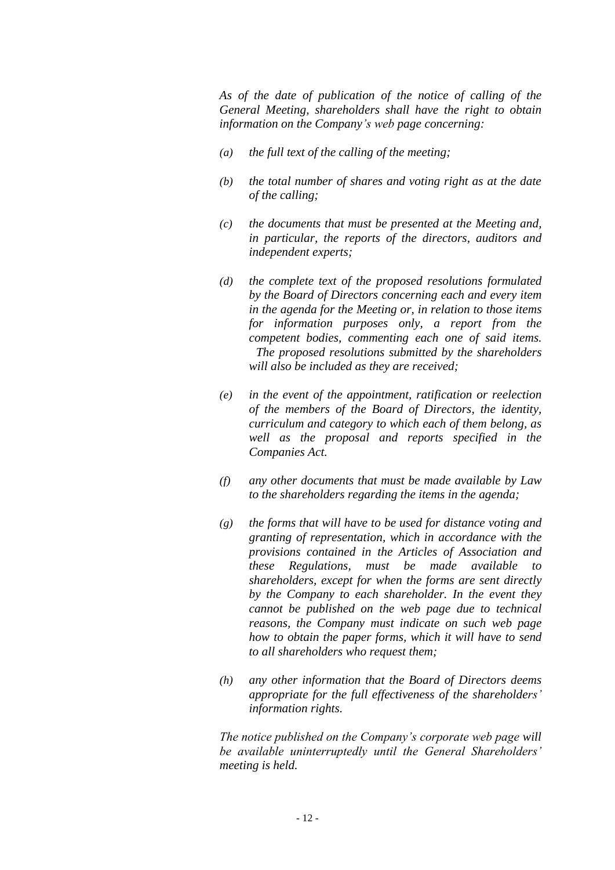*As of the date of publication of the notice of calling of the General Meeting, shareholders shall have the right to obtain information on the Company's web page concerning:*

- *(a) the full text of the calling of the meeting;*
- *(b) the total number of shares and voting right as at the date of the calling;*
- *(c) the documents that must be presented at the Meeting and, in particular, the reports of the directors, auditors and independent experts;*
- *(d) the complete text of the proposed resolutions formulated by the Board of Directors concerning each and every item in the agenda for the Meeting or, in relation to those items for information purposes only, a report from the competent bodies, commenting each one of said items. The proposed resolutions submitted by the shareholders will also be included as they are received;*
- *(e) in the event of the appointment, ratification or reelection of the members of the Board of Directors, the identity, curriculum and category to which each of them belong, as well as the proposal and reports specified in the Companies Act.*
- *(f) any other documents that must be made available by Law to the shareholders regarding the items in the agenda;*
- *(g) the forms that will have to be used for distance voting and granting of representation, which in accordance with the provisions contained in the Articles of Association and these Regulations, must be made available to shareholders, except for when the forms are sent directly by the Company to each shareholder. In the event they cannot be published on the web page due to technical reasons, the Company must indicate on such web page how to obtain the paper forms, which it will have to send to all shareholders who request them;*
- *(h) any other information that the Board of Directors deems appropriate for the full effectiveness of the shareholders' information rights.*

*The notice published on the Company's corporate web page will be available uninterruptedly until the General Shareholders' meeting is held.*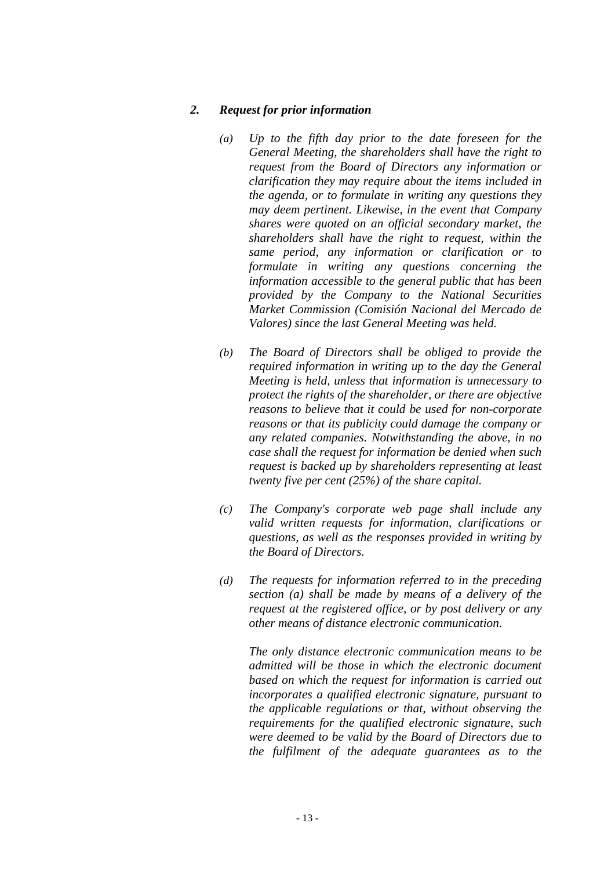#### *2. Request for prior information*

- *(a) Up to the fifth day prior to the date foreseen for the General Meeting, the shareholders shall have the right to request from the Board of Directors any information or clarification they may require about the items included in the agenda, or to formulate in writing any questions they may deem pertinent. Likewise, in the event that Company shares were quoted on an official secondary market, the shareholders shall have the right to request, within the same period, any information or clarification or to formulate in writing any questions concerning the information accessible to the general public that has been provided by the Company to the National Securities Market Commission (Comisión Nacional del Mercado de Valores) since the last General Meeting was held.*
- *(b) The Board of Directors shall be obliged to provide the required information in writing up to the day the General Meeting is held, unless that information is unnecessary to protect the rights of the shareholder, or there are objective reasons to believe that it could be used for non-corporate reasons or that its publicity could damage the company or any related companies. Notwithstanding the above, in no case shall the request for information be denied when such request is backed up by shareholders representing at least twenty five per cent (25%) of the share capital.*
- *(c) The Company's corporate web page shall include any valid written requests for information, clarifications or questions, as well as the responses provided in writing by the Board of Directors.*
- *(d) The requests for information referred to in the preceding section (a) shall be made by means of a delivery of the request at the registered office, or by post delivery or any other means of distance electronic communication.*

*The only distance electronic communication means to be admitted will be those in which the electronic document based on which the request for information is carried out incorporates a qualified electronic signature, pursuant to the applicable regulations or that, without observing the requirements for the qualified electronic signature, such were deemed to be valid by the Board of Directors due to the fulfilment of the adequate guarantees as to the*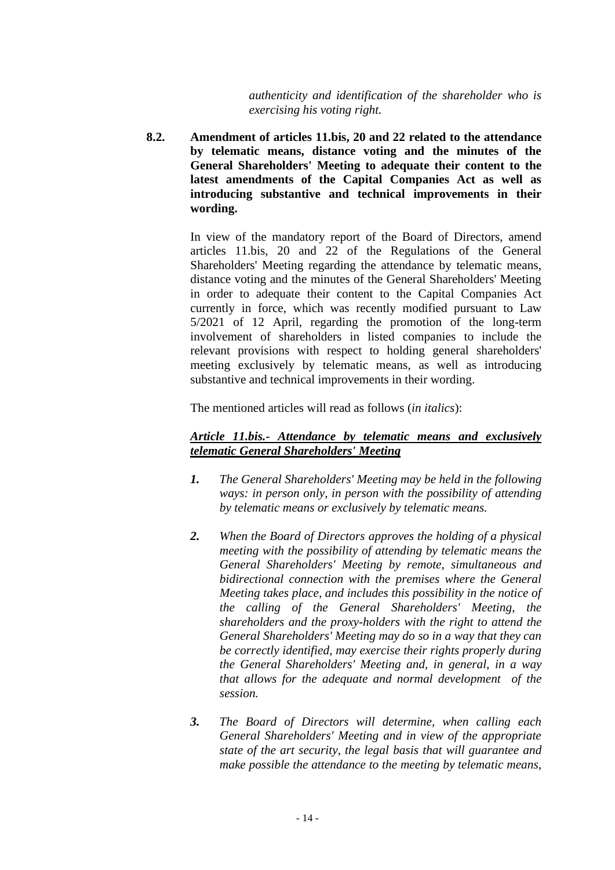*authenticity and identification of the shareholder who is exercising his voting right.*

**8.2. Amendment of articles 11.bis, 20 and 22 related to the attendance by telematic means, distance voting and the minutes of the General Shareholders' Meeting to adequate their content to the latest amendments of the Capital Companies Act as well as introducing substantive and technical improvements in their wording.**

> In view of the mandatory report of the Board of Directors, amend articles 11.bis, 20 and 22 of the Regulations of the General Shareholders' Meeting regarding the attendance by telematic means, distance voting and the minutes of the General Shareholders' Meeting in order to adequate their content to the Capital Companies Act currently in force, which was recently modified pursuant to Law 5/2021 of 12 April, regarding the promotion of the long-term involvement of shareholders in listed companies to include the relevant provisions with respect to holding general shareholders' meeting exclusively by telematic means, as well as introducing substantive and technical improvements in their wording.

The mentioned articles will read as follows (*in italics*):

# *Article 11.bis.- Attendance by telematic means and exclusively telematic General Shareholders' Meeting*

- *1. The General Shareholders' Meeting may be held in the following ways: in person only, in person with the possibility of attending by telematic means or exclusively by telematic means.*
- *2. When the Board of Directors approves the holding of a physical meeting with the possibility of attending by telematic means the General Shareholders' Meeting by remote, simultaneous and bidirectional connection with the premises where the General Meeting takes place, and includes this possibility in the notice of the calling of the General Shareholders' Meeting, the shareholders and the proxy-holders with the right to attend the General Shareholders' Meeting may do so in a way that they can be correctly identified, may exercise their rights properly during the General Shareholders' Meeting and, in general, in a way that allows for the adequate and normal development of the session.*
- *3. The Board of Directors will determine, when calling each General Shareholders' Meeting and in view of the appropriate state of the art security, the legal basis that will guarantee and make possible the attendance to the meeting by telematic means,*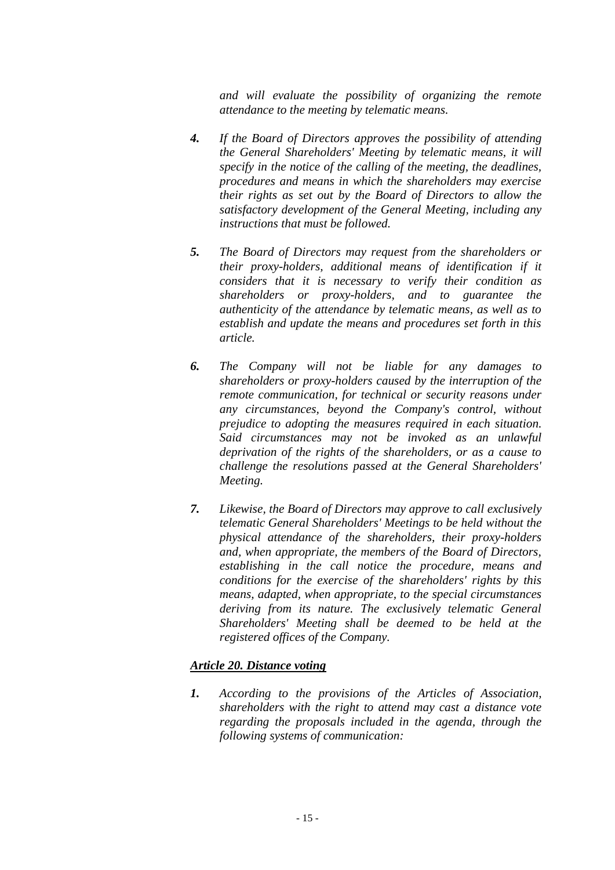*and will evaluate the possibility of organizing the remote attendance to the meeting by telematic means.*

- *4. If the Board of Directors approves the possibility of attending the General Shareholders' Meeting by telematic means, it will specify in the notice of the calling of the meeting, the deadlines, procedures and means in which the shareholders may exercise their rights as set out by the Board of Directors to allow the satisfactory development of the General Meeting, including any instructions that must be followed.*
- *5. The Board of Directors may request from the shareholders or their proxy-holders, additional means of identification if it considers that it is necessary to verify their condition as shareholders or proxy-holders, and to guarantee the authenticity of the attendance by telematic means, as well as to establish and update the means and procedures set forth in this article.*
- *6. The Company will not be liable for any damages to shareholders or proxy-holders caused by the interruption of the remote communication, for technical or security reasons under any circumstances, beyond the Company's control, without prejudice to adopting the measures required in each situation. Said circumstances may not be invoked as an unlawful deprivation of the rights of the shareholders, or as a cause to challenge the resolutions passed at the General Shareholders' Meeting.*
- *7. Likewise, the Board of Directors may approve to call exclusively telematic General Shareholders' Meetings to be held without the physical attendance of the shareholders, their proxy-holders and, when appropriate, the members of the Board of Directors, establishing in the call notice the procedure, means and conditions for the exercise of the shareholders' rights by this means, adapted, when appropriate, to the special circumstances deriving from its nature. The exclusively telematic General Shareholders' Meeting shall be deemed to be held at the registered offices of the Company.*

# *Article 20. Distance voting*

*1. According to the provisions of the Articles of Association, shareholders with the right to attend may cast a distance vote regarding the proposals included in the agenda, through the following systems of communication:*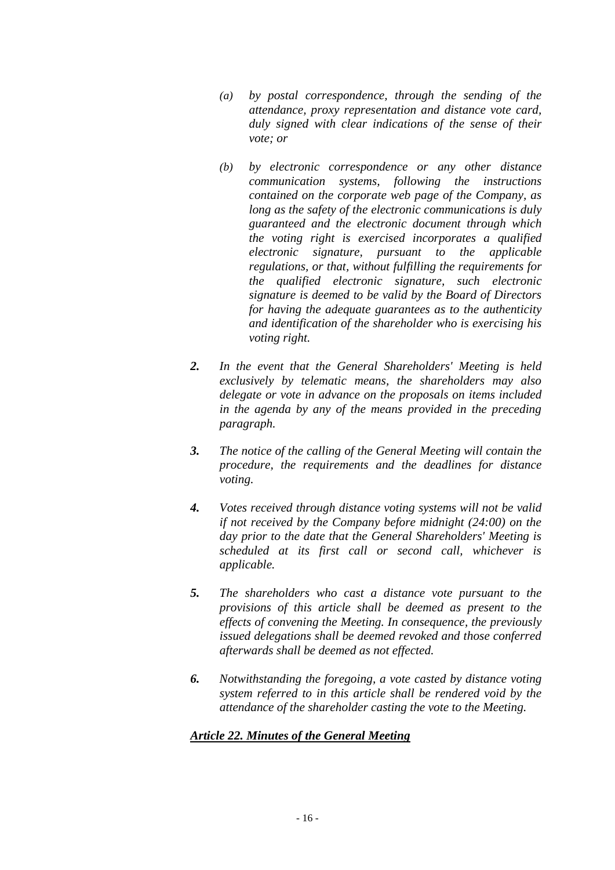- *(a) by postal correspondence, through the sending of the attendance, proxy representation and distance vote card, duly signed with clear indications of the sense of their vote; or*
- *(b) by electronic correspondence or any other distance communication systems, following the instructions contained on the corporate web page of the Company, as long as the safety of the electronic communications is duly guaranteed and the electronic document through which the voting right is exercised incorporates a qualified electronic signature, pursuant to the applicable regulations, or that, without fulfilling the requirements for the qualified electronic signature, such electronic signature is deemed to be valid by the Board of Directors for having the adequate guarantees as to the authenticity and identification of the shareholder who is exercising his voting right.*
- *2. In the event that the General Shareholders' Meeting is held exclusively by telematic means, the shareholders may also delegate or vote in advance on the proposals on items included in the agenda by any of the means provided in the preceding paragraph.*
- *3. The notice of the calling of the General Meeting will contain the procedure, the requirements and the deadlines for distance voting.*
- *4. Votes received through distance voting systems will not be valid if not received by the Company before midnight (24:00) on the day prior to the date that the General Shareholders' Meeting is scheduled at its first call or second call, whichever is applicable.*
- *5. The shareholders who cast a distance vote pursuant to the provisions of this article shall be deemed as present to the effects of convening the Meeting. In consequence, the previously issued delegations shall be deemed revoked and those conferred afterwards shall be deemed as not effected.*
- *6. Notwithstanding the foregoing, a vote casted by distance voting system referred to in this article shall be rendered void by the attendance of the shareholder casting the vote to the Meeting.*

# *Article 22. Minutes of the General Meeting*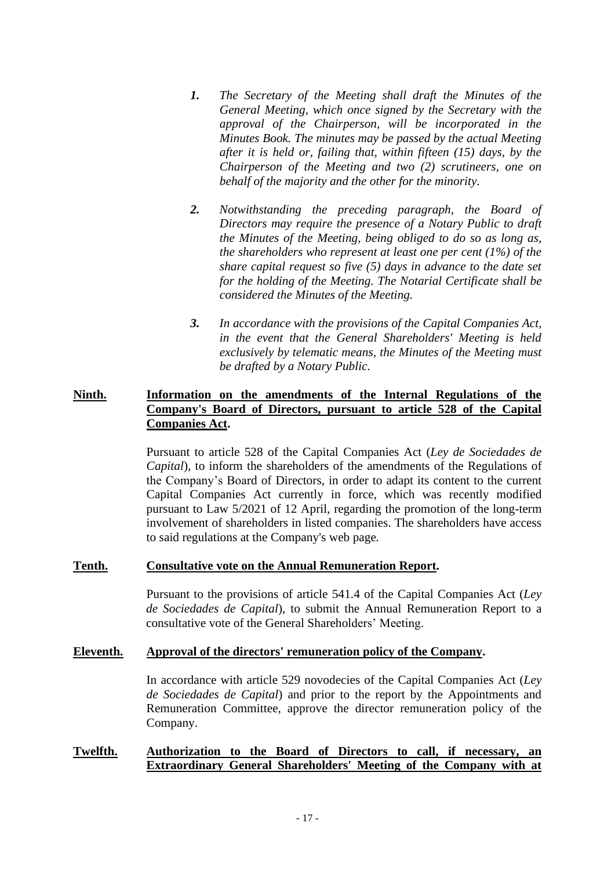- *1. The Secretary of the Meeting shall draft the Minutes of the General Meeting, which once signed by the Secretary with the approval of the Chairperson, will be incorporated in the Minutes Book. The minutes may be passed by the actual Meeting after it is held or, failing that, within fifteen (15) days, by the Chairperson of the Meeting and two (2) scrutineers, one on behalf of the majority and the other for the minority.*
- *2. Notwithstanding the preceding paragraph, the Board of Directors may require the presence of a Notary Public to draft the Minutes of the Meeting, being obliged to do so as long as, the shareholders who represent at least one per cent (1%) of the share capital request so five (5) days in advance to the date set for the holding of the Meeting. The Notarial Certificate shall be considered the Minutes of the Meeting.*
- *3. In accordance with the provisions of the Capital Companies Act, in the event that the General Shareholders' Meeting is held exclusively by telematic means, the Minutes of the Meeting must be drafted by a Notary Public.*

### **Ninth. Information on the amendments of the Internal Regulations of the Company's Board of Directors, pursuant to article 528 of the Capital Companies Act.**

Pursuant to article 528 of the Capital Companies Act (*Ley de Sociedades de Capital*), to inform the shareholders of the amendments of the Regulations of the Company's Board of Directors, in order to adapt its content to the current Capital Companies Act currently in force, which was recently modified pursuant to Law 5/2021 of 12 April, regarding the promotion of the long-term involvement of shareholders in listed companies. The shareholders have access to said regulations at the Company's web page*.*

#### **Tenth. Consultative vote on the Annual Remuneration Report.**

Pursuant to the provisions of article 541.4 of the Capital Companies Act (*Ley de Sociedades de Capital*), to submit the Annual Remuneration Report to a consultative vote of the General Shareholders' Meeting.

#### **Eleventh. Approval of the directors' remuneration policy of the Company.**

In accordance with article 529 novodecies of the Capital Companies Act (*Ley de Sociedades de Capital*) and prior to the report by the Appointments and Remuneration Committee, approve the director remuneration policy of the Company.

### **Twelfth. Authorization to the Board of Directors to call, if necessary, an Extraordinary General Shareholders' Meeting of the Company with at**